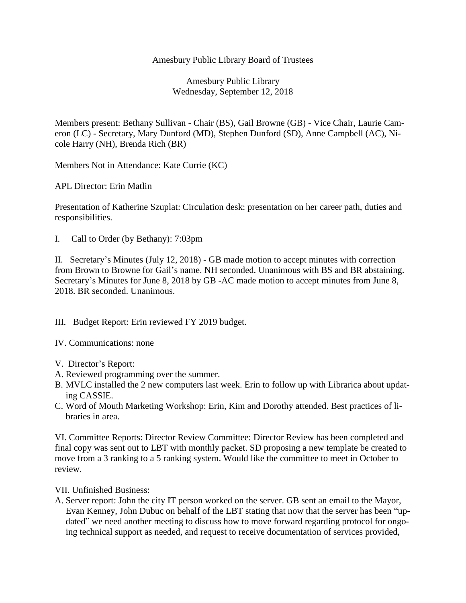## Amesbury Public Library Board of Trustees

Amesbury Public Library Wednesday, September 12, 2018

Members present: Bethany Sullivan - Chair (BS), Gail Browne (GB) - Vice Chair, Laurie Cameron (LC) - Secretary, Mary Dunford (MD), Stephen Dunford (SD), Anne Campbell (AC), Nicole Harry (NH), Brenda Rich (BR)

Members Not in Attendance: Kate Currie (KC)

APL Director: Erin Matlin

Presentation of Katherine Szuplat: Circulation desk: presentation on her career path, duties and responsibilities.

I. Call to Order (by Bethany): 7:03pm

II. Secretary's Minutes (July 12, 2018) - GB made motion to accept minutes with correction from Brown to Browne for Gail's name. NH seconded. Unanimous with BS and BR abstaining. Secretary's Minutes for June 8, 2018 by GB -AC made motion to accept minutes from June 8, 2018. BR seconded. Unanimous.

III. Budget Report: Erin reviewed FY 2019 budget.

IV. Communications: none

- V. Director's Report:
- A. Reviewed programming over the summer.
- B. MVLC installed the 2 new computers last week. Erin to follow up with Librarica about updating CASSIE.
- C. Word of Mouth Marketing Workshop: Erin, Kim and Dorothy attended. Best practices of libraries in area.

VI. Committee Reports: Director Review Committee: Director Review has been completed and final copy was sent out to LBT with monthly packet. SD proposing a new template be created to move from a 3 ranking to a 5 ranking system. Would like the committee to meet in October to review.

VII. Unfinished Business:

A. Server report: John the city IT person worked on the server. GB sent an email to the Mayor, Evan Kenney, John Dubuc on behalf of the LBT stating that now that the server has been "updated" we need another meeting to discuss how to move forward regarding protocol for ongoing technical support as needed, and request to receive documentation of services provided,